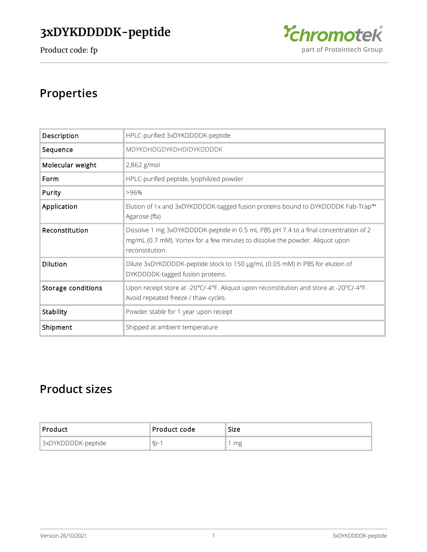

# **Properties**

| Description        | HPLC-purified 3xDYKDDDDK-peptide                                                                                                                                                        |  |  |
|--------------------|-----------------------------------------------------------------------------------------------------------------------------------------------------------------------------------------|--|--|
| Sequence           | MDYKDHDGDYKDHDIDYKDDDDK                                                                                                                                                                 |  |  |
| Molecular weight   | 2,862 g/mol                                                                                                                                                                             |  |  |
| Form               | HPLC-purified peptide, lyophilized powder                                                                                                                                               |  |  |
| Purity             | >96%                                                                                                                                                                                    |  |  |
| Application        | Elution of 1x and 3xDYKDDDDK-tagged fusion proteins bound to DYKDDDDK Fab-Trap™<br>Agarose (ffa)                                                                                        |  |  |
| Reconstitution     | Dissolve 1 mg 3xDYKDDDDK-peptide in 0.5 mL PBS pH 7.4 to a final concentration of 2<br>mg/mL (0.7 mM). Vortex for a few minutes to dissolve the powder. Aliquot upon<br>reconstitution. |  |  |
| <b>Dilution</b>    | Dilute 3xDYKDDDDK-peptide stock to 150 µg/mL (0.05 mM) in PBS for elution of<br>DYKDDDDK-tagged fusion proteins.                                                                        |  |  |
| Storage conditions | Upon receipt store at -20°C/-4°F. Aliquot upon reconstitution and store at -20°C/-4°F.<br>Avoid repeated freeze / thaw cycles.                                                          |  |  |
| Stability          | Powder stable for 1 year upon receipt                                                                                                                                                   |  |  |
| Shipment           | Shipped at ambient temperature                                                                                                                                                          |  |  |

# **Product sizes**

| 'Product :         | Product code | Size |
|--------------------|--------------|------|
| 3xDYKDDDDK-peptide | fp-1         | mg   |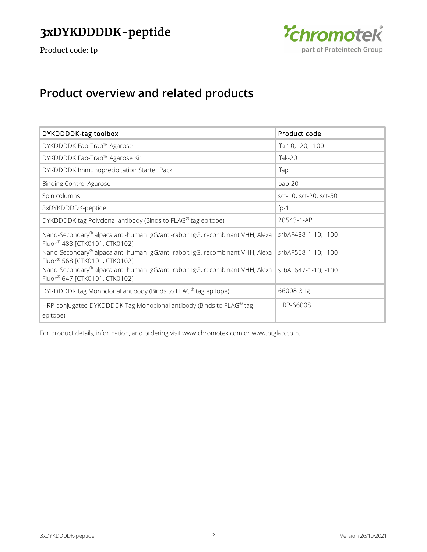

# **Product overview and related products**

| DYKDDDDK-tag toolbox                                                                                           | Product code           |
|----------------------------------------------------------------------------------------------------------------|------------------------|
| DYKDDDDK Fab-Trap™ Agarose                                                                                     | ffa-10; -20; -100      |
| DYKDDDDK Fab-Trap™ Agarose Kit                                                                                 | $ffak-20$              |
| DYKDDDDK Immunoprecipitation Starter Pack                                                                      | ffap                   |
| <b>Binding Control Agarose</b>                                                                                 | bab-20                 |
| Spin columns                                                                                                   | sct-10; sct-20; sct-50 |
| 3xDYKDDDDK-peptide                                                                                             | $fp-1$                 |
| DYKDDDDK tag Polyclonal antibody (Binds to FLAG® tag epitope)                                                  | 20543-1-AP             |
| Nano-Secondary® alpaca anti-human IgG/anti-rabbit IgG, recombinant VHH, Alexa<br>Fluor® 488 [CTK0101, CTK0102] | srbAF488-1-10; -100    |
| Nano-Secondary® alpaca anti-human IgG/anti-rabbit IgG, recombinant VHH, Alexa<br>Fluor® 568 [CTK0101, CTK0102] | srbAF568-1-10; -100    |
| Nano-Secondary® alpaca anti-human IgG/anti-rabbit IgG, recombinant VHH, Alexa<br>Fluor® 647 [CTK0101, CTK0102] | srbAF647-1-10; -100    |
| DYKDDDDK tag Monoclonal antibody (Binds to FLAG® tag epitope)                                                  | 66008-3-lg             |
| HRP-conjugated DYKDDDDK Tag Monoclonal antibody (Binds to FLAG® tag<br>epitope)                                | HRP-66008              |

For product details, information, and ordering visit [www.chromotek.com](http://www.chromotek.com) or [www.ptglab.com](http://www.ptglab.com).